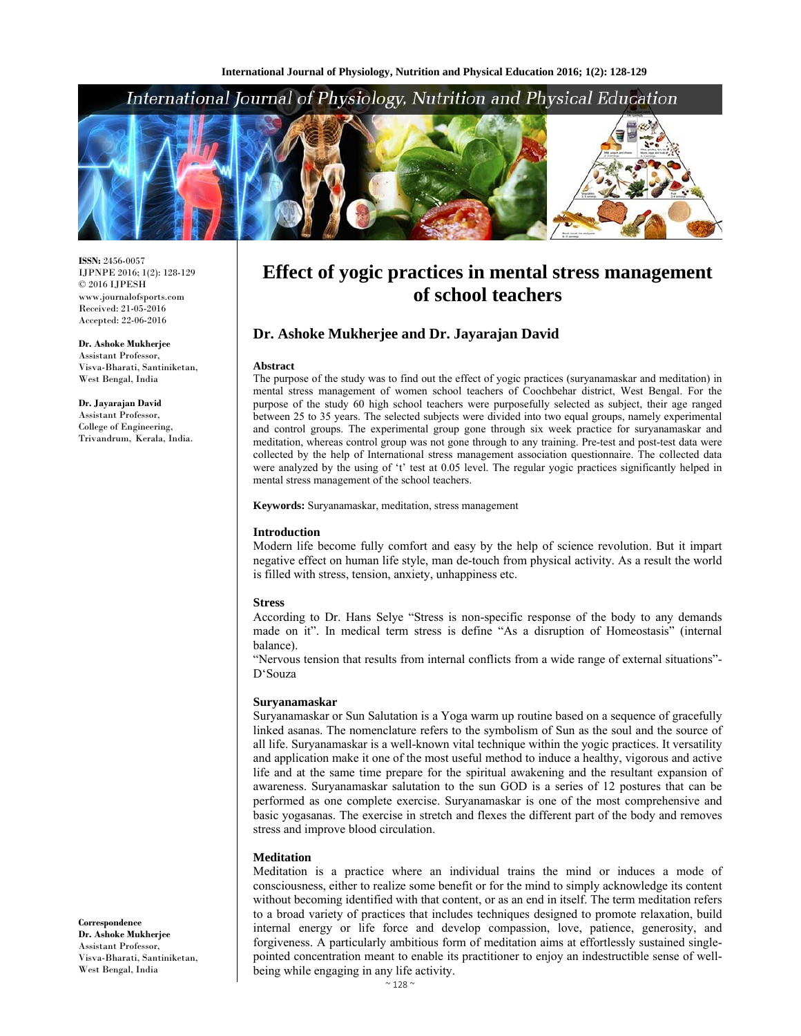# International Journal of Physiology, Nutrition and Physical Education



**ISSN:** 2456-0057 IJPNPE 2016; 1(2): 128-129 © 2016 IJPESH www.journalofsports.com Received: 21-05-2016 Accepted: 22-06-2016

**Dr. Ashoke Mukherjee**  Assistant Professor, Visva-Bharati, Santiniketan, West Bengal, India

**Dr. Jayarajan David**  Assistant Professor, College of Engineering, Trivandrum, Kerala, India.

# **Effect of yogic practices in mental stress management of school teachers**

# **Dr. Ashoke Mukherjee and Dr. Jayarajan David**

#### **Abstract**

The purpose of the study was to find out the effect of yogic practices (suryanamaskar and meditation) in mental stress management of women school teachers of Coochbehar district, West Bengal. For the purpose of the study 60 high school teachers were purposefully selected as subject, their age ranged between 25 to 35 years. The selected subjects were divided into two equal groups, namely experimental and control groups. The experimental group gone through six week practice for suryanamaskar and meditation, whereas control group was not gone through to any training. Pre-test and post-test data were collected by the help of International stress management association questionnaire. The collected data were analyzed by the using of 't' test at 0.05 level. The regular yogic practices significantly helped in mental stress management of the school teachers.

#### **Keywords:** Suryanamaskar, meditation, stress management

### **Introduction**

Modern life become fully comfort and easy by the help of science revolution. But it impart negative effect on human life style, man de-touch from physical activity. As a result the world is filled with stress, tension, anxiety, unhappiness etc.

#### **Stress**

According to Dr. Hans Selye "Stress is non-specific response of the body to any demands made on it". In medical term stress is define "As a disruption of Homeostasis" (internal balance).

"Nervous tension that results from internal conflicts from a wide range of external situations"- D'Souza

#### **Suryanamaskar**

Suryanamaskar or Sun Salutation is a Yoga warm up routine based on a sequence of gracefully linked asanas. The nomenclature refers to the symbolism of Sun as the soul and the source of all life. Suryanamaskar is a well-known vital technique within the yogic practices. It versatility and application make it one of the most useful method to induce a healthy, vigorous and active life and at the same time prepare for the spiritual awakening and the resultant expansion of awareness. Suryanamaskar salutation to the sun GOD is a series of 12 postures that can be performed as one complete exercise. Suryanamaskar is one of the most comprehensive and basic yogasanas. The exercise in stretch and flexes the different part of the body and removes stress and improve blood circulation.

### **Meditation**

Meditation is a practice where an individual trains the mind or induces a mode of consciousness, either to realize some benefit or for the mind to simply acknowledge its content without becoming identified with that content, or as an end in itself. The term meditation refers to a broad variety of practices that includes techniques designed to promote relaxation, build internal energy or life force and develop compassion, love, patience, generosity, and forgiveness. A particularly ambitious form of meditation aims at effortlessly sustained singlepointed concentration meant to enable its practitioner to enjoy an indestructible sense of wellbeing while engaging in any life activity.

**Correspondence Dr. Ashoke Mukherjee**  Assistant Professor, Visva-Bharati, Santiniketan, West Bengal, India